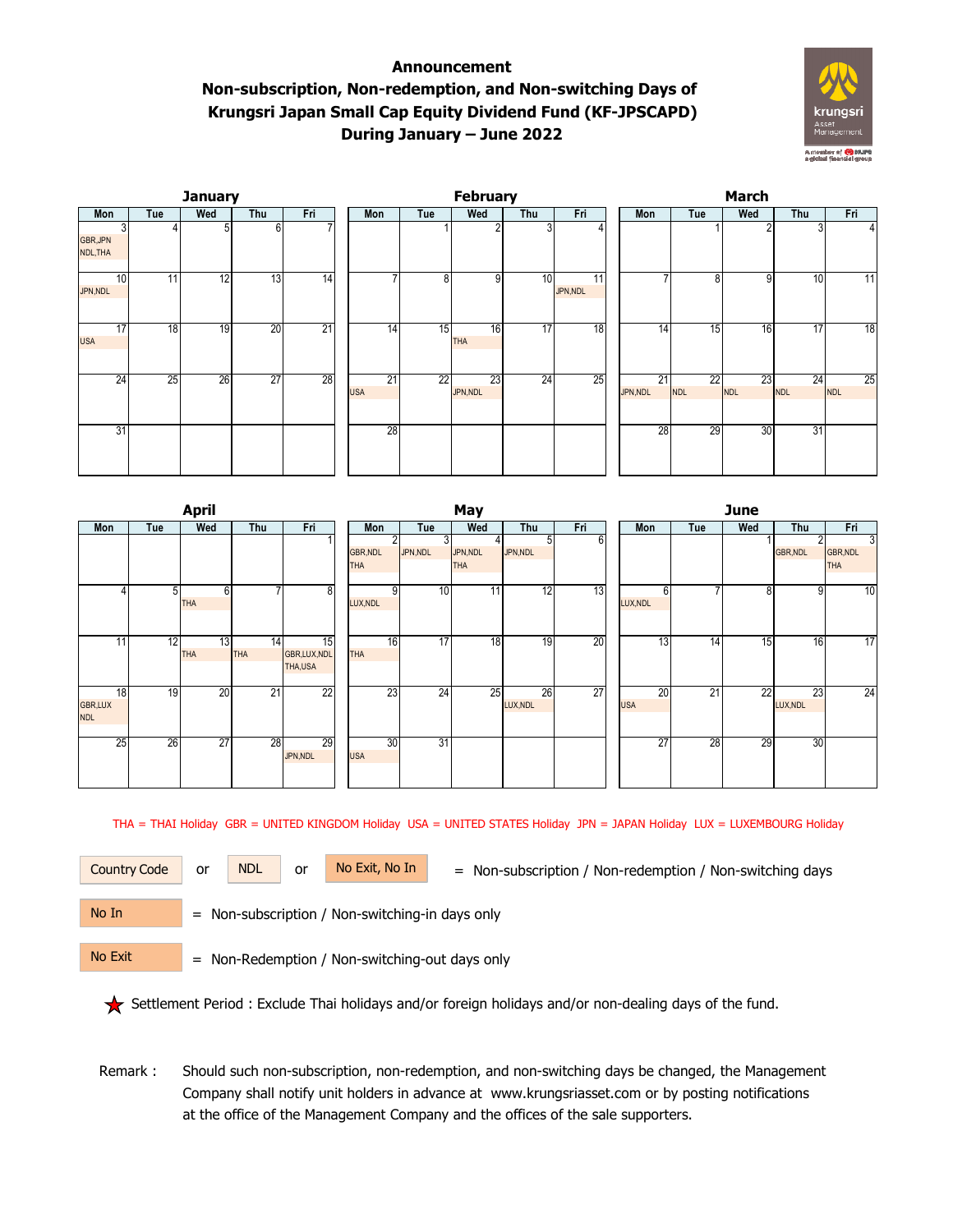## **Announcement Non-subscription, Non-redemption, and Non-switching Days of Krungsri Japan Small Cap Equity Dividend Fund (KF-JPSCAPD) During January – June 2022**



|                            |     | <b>January</b> |                 |                 |                  |                 | February         |     |                | March          |                               |                  |                  |                  |  |  |  |
|----------------------------|-----|----------------|-----------------|-----------------|------------------|-----------------|------------------|-----|----------------|----------------|-------------------------------|------------------|------------------|------------------|--|--|--|
| Mon                        | Tue | Wed            | Thu             | Fri             | Mon              | Tue             | Wed              | Thu | Fri            | Mon            | Tue                           | Wed              | Thu              | Fri              |  |  |  |
| 31<br>GBR, JPN<br>NDL, THA |     | 5              | 61              |                 |                  |                 |                  | 3   |                |                |                               | $\overline{2}$   |                  | 4 <sup>1</sup>   |  |  |  |
| 10<br>JPN, NDL             | 11  | 12             | 13              | $\overline{14}$ | ۰,               | 8               | 9                | 10  | 11<br>JPN, NDL |                | 8                             | 9                | 10               | 11               |  |  |  |
| 17<br><b>USA</b>           | 18  | 19             | 20              | 21              | 14               | 15              | 16<br><b>THA</b> | 17  | 18             | 14             | 15                            | 16               | 17               | 18               |  |  |  |
| $2\overline{4}$            | 25  | 26             | $\overline{27}$ | 28              | 21<br><b>USA</b> | $\overline{22}$ | 23<br>JPN,NDL    | 24  | 25             | 21<br>JPN, NDL | $2\overline{2}$<br><b>NDL</b> | 23<br><b>NDL</b> | 24<br><b>NDL</b> | 25<br><b>NDL</b> |  |  |  |
| 31                         |     |                |                 |                 | 28               |                 |                  |     |                | 28             | 29                            | 30               | 31               |                  |  |  |  |

|                                    |                | <b>April</b>                  |                  |                              |                               |    |                | May                    |                |     | June |                  |     |                 |                      |                        |  |
|------------------------------------|----------------|-------------------------------|------------------|------------------------------|-------------------------------|----|----------------|------------------------|----------------|-----|------|------------------|-----|-----------------|----------------------|------------------------|--|
| Mon                                | Tue            | Wed                           | Thu              | Fri                          | Mon                           |    | Tue            | Wed                    | Thu            | Fri |      | Mon              | Tue | Wed             | Thu                  | Fri                    |  |
|                                    |                |                               |                  |                              | <b>GBR, NDL</b><br><b>THA</b> | 2  | 31<br>JPN, NDL | JPN, NDL<br><b>THA</b> | 5<br>JPN, NDL  | 6   |      |                  |     |                 | 2<br><b>GBR, NDL</b> | GBR, NDL<br><b>THA</b> |  |
| 4                                  | 5 <sup>1</sup> | 6<br><b>THA</b>               |                  | 8                            | LUX, NDL                      | 9  | 10             | 11                     | 12             | 13  |      | 6<br>LUX, NDL    |     | 8               | 9                    | 10                     |  |
| 11                                 | 12             | $\overline{13}$<br><b>THA</b> | 14<br><b>THA</b> | 15<br>GBR,LUX,NDL<br>THA,USA | <b>THA</b>                    | 16 | 17             | 18                     | 19             | 20  |      | 13               | 14  | 15              | 16                   | 17                     |  |
| 18<br><b>GBR,LUX</b><br><b>NDL</b> | 19             | 20                            | 21               | 22                           |                               | 23 | 24             | 25                     | 26<br>LUX, NDL | 27  |      | 20<br><b>USA</b> | 21  | $\overline{22}$ | 23<br>LUX, NDL       | $\overline{24}$        |  |
| 25                                 | 26             | $\overline{27}$               | 28               | 29<br>JPN, NDL               | <b>USA</b>                    | 30 | 31             |                        |                |     |      | 27               | 28  | 29              | 30                   |                        |  |

THA = THAI Holiday GBR = UNITED KINGDOM Holiday USA = UNITED STATES Holiday JPN = JAPAN Holiday LUX = LUXEMBOURG Holiday

Country Code or NDL or No Exit, No In = Non-subscription / Non-redemption / Non-switching days

No In

or NDL or

No Exit

= Non-subscription / Non-switching-in days only

= Non-Redemption / Non-switching-out days only

Settlement Period : Exclude Thai holidays and/or foreign holidays and/or non-dealing days of the fund.

 Remark : Should such non-subscription, non-redemption, and non-switching days be changed, the Management Company shall notify unit holders in advance at www.krungsriasset.com or by posting notifications at the office of the Management Company and the offices of the sale supporters.